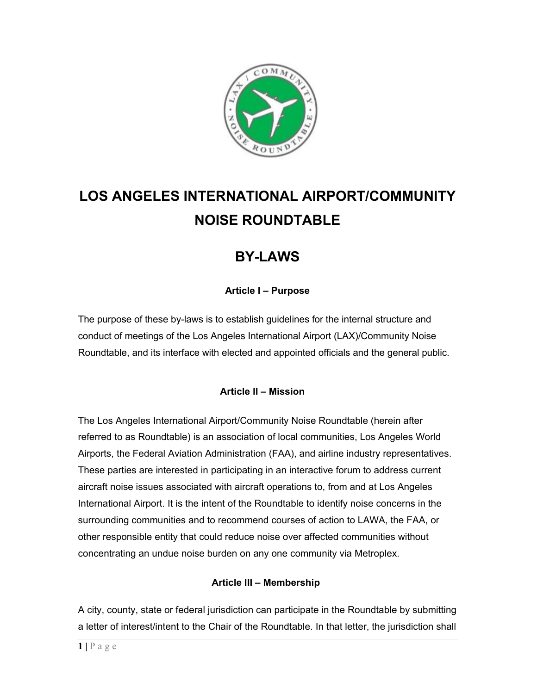

# **LOS ANGELES INTERNATIONAL AIRPORT/COMMUNITY NOISE ROUNDTABLE**

# **BY-LAWS**

# **Article I – Purpose**

The purpose of these by-laws is to establish guidelines for the internal structure and conduct of meetings of the Los Angeles International Airport (LAX)/Community Noise Roundtable, and its interface with elected and appointed officials and the general public.

# **Article II – Mission**

The Los Angeles International Airport/Community Noise Roundtable (herein after referred to as Roundtable) is an association of local communities, Los Angeles World Airports, the Federal Aviation Administration (FAA), and airline industry representatives. These parties are interested in participating in an interactive forum to address current aircraft noise issues associated with aircraft operations to, from and at Los Angeles International Airport. It is the intent of the Roundtable to identify noise concerns in the surrounding communities and to recommend courses of action to LAWA, the FAA, or other responsible entity that could reduce noise over affected communities without concentrating an undue noise burden on any one community via Metroplex.

# **Article III – Membership**

A city, county, state or federal jurisdiction can participate in the Roundtable by submitting a letter of interest/intent to the Chair of the Roundtable. In that letter, the jurisdiction shall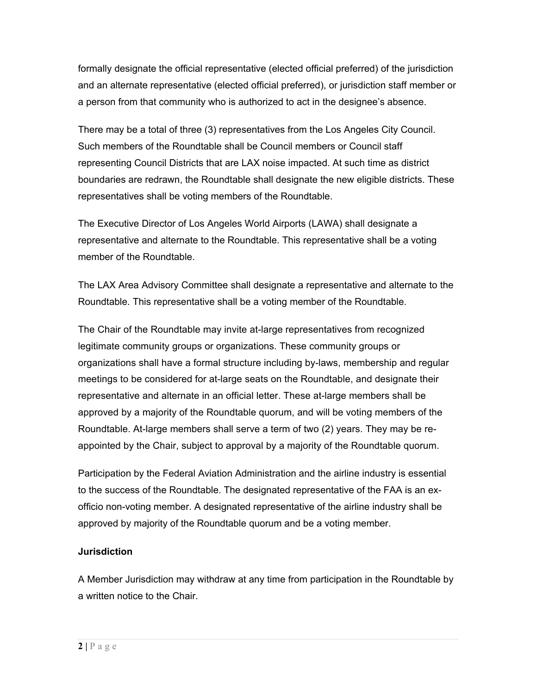formally designate the official representative (elected official preferred) of the jurisdiction and an alternate representative (elected official preferred), or jurisdiction staff member or a person from that community who is authorized to act in the designee's absence.

There may be a total of three (3) representatives from the Los Angeles City Council. Such members of the Roundtable shall be Council members or Council staff representing Council Districts that are LAX noise impacted. At such time as district boundaries are redrawn, the Roundtable shall designate the new eligible districts. These representatives shall be voting members of the Roundtable.

The Executive Director of Los Angeles World Airports (LAWA) shall designate a representative and alternate to the Roundtable. This representative shall be a voting member of the Roundtable.

The LAX Area Advisory Committee shall designate a representative and alternate to the Roundtable. This representative shall be a voting member of the Roundtable.

The Chair of the Roundtable may invite at-large representatives from recognized legitimate community groups or organizations. These community groups or organizations shall have a formal structure including by-laws, membership and regular meetings to be considered for at-large seats on the Roundtable, and designate their representative and alternate in an official letter. These at-large members shall be approved by a majority of the Roundtable quorum, and will be voting members of the Roundtable. At-large members shall serve a term of two (2) years. They may be reappointed by the Chair, subject to approval by a majority of the Roundtable quorum.

Participation by the Federal Aviation Administration and the airline industry is essential to the success of the Roundtable. The designated representative of the FAA is an exofficio non-voting member. A designated representative of the airline industry shall be approved by majority of the Roundtable quorum and be a voting member.

# **Jurisdiction**

A Member Jurisdiction may withdraw at any time from participation in the Roundtable by a written notice to the Chair.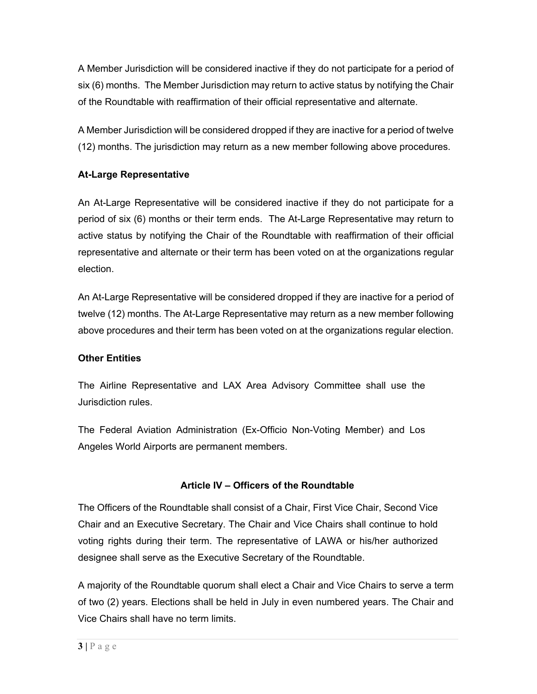A Member Jurisdiction will be considered inactive if they do not participate for a period of six (6) months. The Member Jurisdiction may return to active status by notifying the Chair of the Roundtable with reaffirmation of their official representative and alternate.

A Member Jurisdiction will be considered dropped if they are inactive for a period of twelve (12) months. The jurisdiction may return as a new member following above procedures.

#### **At-Large Representative**

An At-Large Representative will be considered inactive if they do not participate for a period of six (6) months or their term ends. The At-Large Representative may return to active status by notifying the Chair of the Roundtable with reaffirmation of their official representative and alternate or their term has been voted on at the organizations regular election.

An At-Large Representative will be considered dropped if they are inactive for a period of twelve (12) months. The At-Large Representative may return as a new member following above procedures and their term has been voted on at the organizations regular election.

#### **Other Entities**

The Airline Representative and LAX Area Advisory Committee shall use the Jurisdiction rules.

The Federal Aviation Administration (Ex-Officio Non-Voting Member) and Los Angeles World Airports are permanent members.

#### **Article IV – Officers of the Roundtable**

The Officers of the Roundtable shall consist of a Chair, First Vice Chair, Second Vice Chair and an Executive Secretary. The Chair and Vice Chairs shall continue to hold voting rights during their term. The representative of LAWA or his/her authorized designee shall serve as the Executive Secretary of the Roundtable.

A majority of the Roundtable quorum shall elect a Chair and Vice Chairs to serve a term of two (2) years. Elections shall be held in July in even numbered years. The Chair and Vice Chairs shall have no term limits.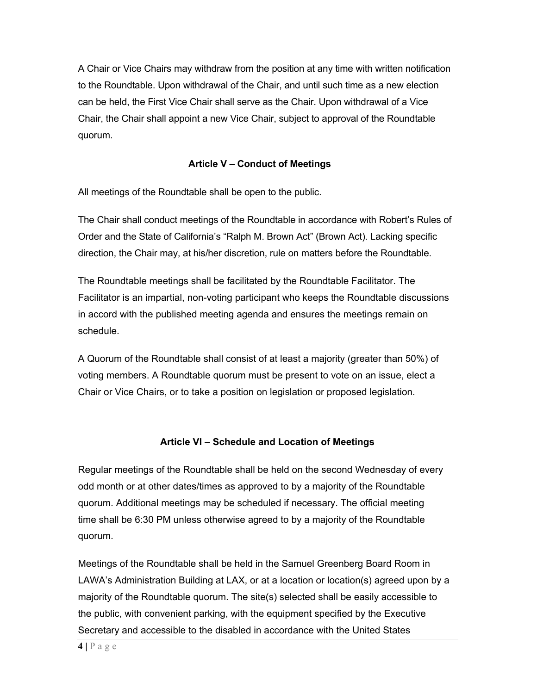A Chair or Vice Chairs may withdraw from the position at any time with written notification to the Roundtable. Upon withdrawal of the Chair, and until such time as a new election can be held, the First Vice Chair shall serve as the Chair. Upon withdrawal of a Vice Chair, the Chair shall appoint a new Vice Chair, subject to approval of the Roundtable quorum.

#### **Article V – Conduct of Meetings**

All meetings of the Roundtable shall be open to the public.

The Chair shall conduct meetings of the Roundtable in accordance with Robert's Rules of Order and the State of California's "Ralph M. Brown Act" (Brown Act). Lacking specific direction, the Chair may, at his/her discretion, rule on matters before the Roundtable.

The Roundtable meetings shall be facilitated by the Roundtable Facilitator. The Facilitator is an impartial, non-voting participant who keeps the Roundtable discussions in accord with the published meeting agenda and ensures the meetings remain on schedule.

A Quorum of the Roundtable shall consist of at least a majority (greater than 50%) of voting members. A Roundtable quorum must be present to vote on an issue, elect a Chair or Vice Chairs, or to take a position on legislation or proposed legislation.

#### **Article VI – Schedule and Location of Meetings**

Regular meetings of the Roundtable shall be held on the second Wednesday of every odd month or at other dates/times as approved to by a majority of the Roundtable quorum. Additional meetings may be scheduled if necessary. The official meeting time shall be 6:30 PM unless otherwise agreed to by a majority of the Roundtable quorum.

Meetings of the Roundtable shall be held in the Samuel Greenberg Board Room in LAWA's Administration Building at LAX, or at a location or location(s) agreed upon by a majority of the Roundtable quorum. The site(s) selected shall be easily accessible to the public, with convenient parking, with the equipment specified by the Executive Secretary and accessible to the disabled in accordance with the United States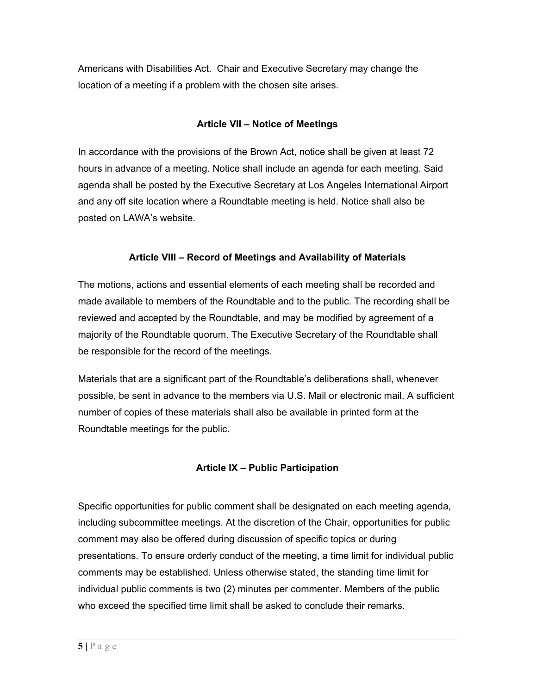Americans with Disabilities Act. Chair and Executive Secretary may change the location of a meeting if a problem with the chosen site arises.

#### **Article VII – Notice of Meetings**

In accordance with the provisions of the Brown Act, notice shall be given at least 72 hours in advance of a meeting. Notice shall include an agenda for each meeting. Said agenda shall be posted by the Executive Secretary at Los Angeles International Airport and any off site location where a Roundtable meeting is held. Notice shall also be posted on LAWA's website.

#### **Article VIII – Record of Meetings and Availability of Materials**

The motions, actions and essential elements of each meeting shall be recorded and made available to members of the Roundtable and to the public. The recording shall be reviewed and accepted by the Roundtable, and may be modified by agreement of a majority of the Roundtable quorum. The Executive Secretary of the Roundtable shall be responsible for the record of the meetings.

Materials that are a significant part of the Roundtable's deliberations shall, whenever possible, be sent in advance to the members via U.S. Mail or electronic mail. A sufficient number of copies of these materials shall also be available in printed form at the Roundtable meetings for the public.

# **Article IX – Public Participation**

Specific opportunities for public comment shall be designated on each meeting agenda, including subcommittee meetings. At the discretion of the Chair, opportunities for public comment may also be offered during discussion of specific topics or during presentations. To ensure orderly conduct of the meeting, a time limit for individual public comments may be established. Unless otherwise stated, the standing time limit for individual public comments is two (2) minutes per commenter. Members of the public who exceed the specified time limit shall be asked to conclude their remarks.